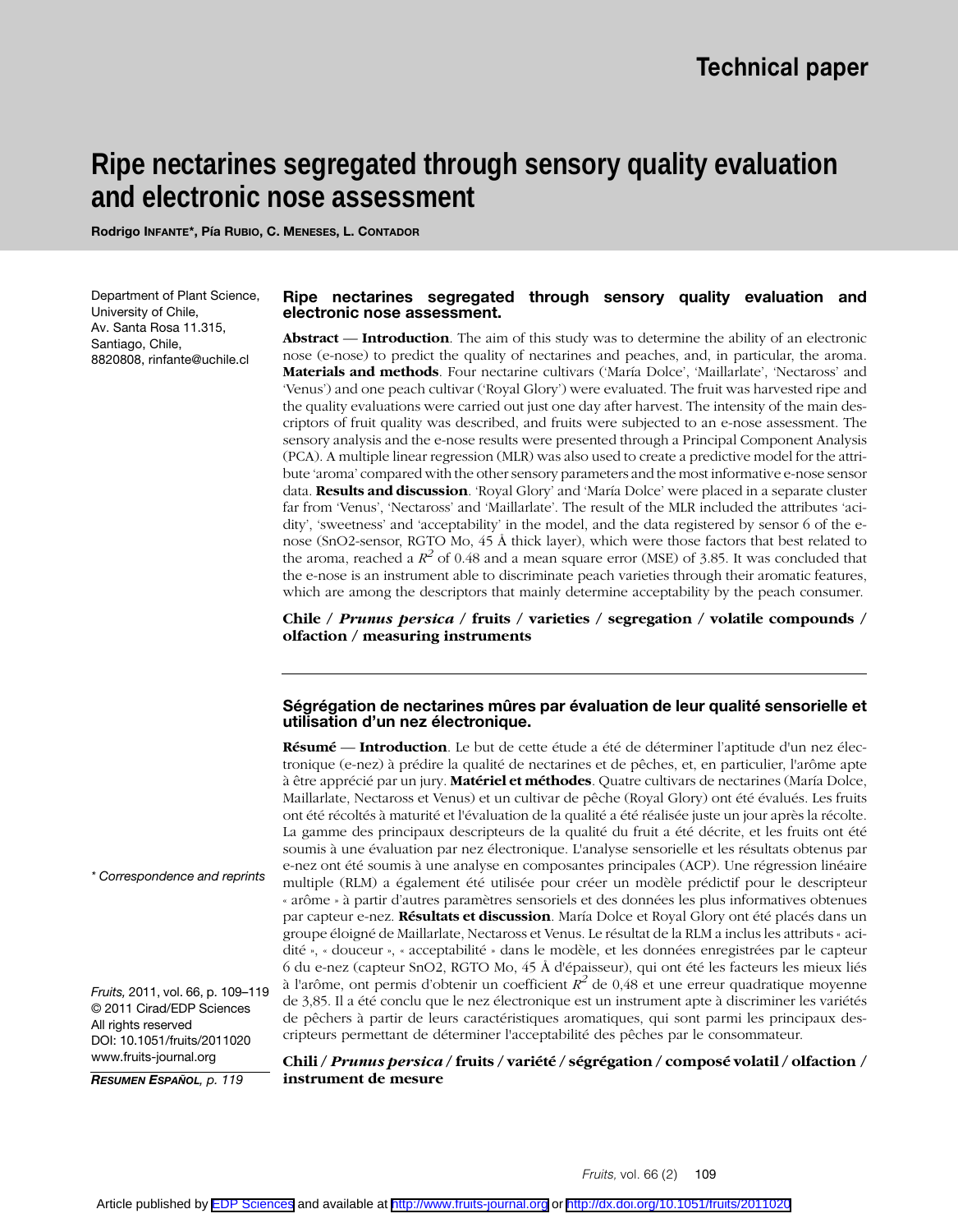# **Ripe nectarines segregated through sensory quality evaluation and electronic nose assessment**

**Rodrigo INFANTE\*, Pía RUBIO, C. MENESES, L. CONTADOR**

Department of Plant Science, University of Chile, Av. Santa Rosa 11.315, Santiago, Chile, 8820808, rinfante@uchile.cl

## **Ripe nectarines segregated through sensory quality evaluation and electronic nose assessment.**

**Abstract** — **Introduction**. The aim of this study was to determine the ability of an electronic nose (e-nose) to predict the quality of nectarines and peaches, and, in particular, the aroma. **Materials and methods**. Four nectarine cultivars ('María Dolce', 'Maillarlate', 'Nectaross' and 'Venus') and one peach cultivar ('Royal Glory') were evaluated. The fruit was harvested ripe and the quality evaluations were carried out just one day after harvest. The intensity of the main descriptors of fruit quality was described, and fruits were subjected to an e-nose assessment. The sensory analysis and the e-nose results were presented through a Principal Component Analysis (PCA). A multiple linear regression (MLR) was also used to create a predictive model for the attribute 'aroma' compared with the other sensory parameters and the most informative e-nose sensor data. **Results and discussion**. 'Royal Glory' and 'María Dolce' were placed in a separate cluster far from 'Venus', 'Nectaross' and 'Maillarlate'. The result of the MLR included the attributes 'acidity', 'sweetness' and 'acceptability' in the model, and the data registered by sensor 6 of the enose (SnO2-sensor, RGTO Mo, 45 Å thick layer), which were those factors that best related to the aroma, reached a  $R^2$  of 0.48 and a mean square error (MSE) of 3.85. It was concluded that the e-nose is an instrument able to discriminate peach varieties through their aromatic features, which are among the descriptors that mainly determine acceptability by the peach consumer.

**Chile /** *Prunus persica* **/ fruits / varieties / segregation / volatile compounds / olfaction / measuring instruments**

## **Ségrégation de nectarines mûres par évaluation de leur qualité sensorielle et utilisation d'un nez électronique.**

**Résumé** — **Introduction**. Le but de cette étude a été de déterminer l'aptitude d'un nez électronique (e-nez) à prédire la qualité de nectarines et de pêches, et, en particulier, l'arôme apte à être apprécié par un jury. **Matériel et méthodes**. Quatre cultivars de nectarines (María Dolce, Maillarlate, Nectaross et Venus) et un cultivar de pêche (Royal Glory) ont été évalués. Les fruits ont été récoltés à maturité et l'évaluation de la qualité a été réalisée juste un jour après la récolte. La gamme des principaux descripteurs de la qualité du fruit a été décrite, et les fruits ont été soumis à une évaluation par nez électronique. L'analyse sensorielle et les résultats obtenus par e-nez ont été soumis à une analyse en composantes principales (ACP). Une régression linéaire multiple (RLM) a également été utilisée pour créer un modèle prédictif pour le descripteur « arôme » à partir d'autres paramètres sensoriels et des données les plus informatives obtenues par capteur e-nez. **Résultats et discussion**. María Dolce et Royal Glory ont été placés dans un groupe éloigné de Maillarlate, Nectaross et Venus. Le résultat de la RLM a inclus les attributs « acidité », « douceur », « acceptabilité » dans le modèle, et les données enregistrées par le capteur 6 du e-nez (capteur SnO2, RGTO Mo, 45 Å d'épaisseur), qui ont été les facteurs les mieux liés à l'arôme, ont permis d'obtenir un coefficient  $R^2$  de 0,48 et une erreur quadratique moyenne de 3,85. Il a été conclu que le nez électronique est un instrument apte à discriminer les variétés de pêchers à partir de leurs caractéristiques aromatiques, qui sont parmi les principaux descripteurs permettant de déterminer l'acceptabilité des pêches par le consommateur.

*\* Correspondence and reprints*

*Fruits,* 2011, vol. 66, p. 109–119 © 2011 Cirad/EDP Sciences All rights reserved DOI: 10.1051/fruits/2011020 www.fruits-journal.org

*RESUMEN ESPAÑOL, p. 119*

**Chili /** *Prunus persica* **/ fruits / variété / ségrégation / composé volatil / olfaction / instrument de mesure**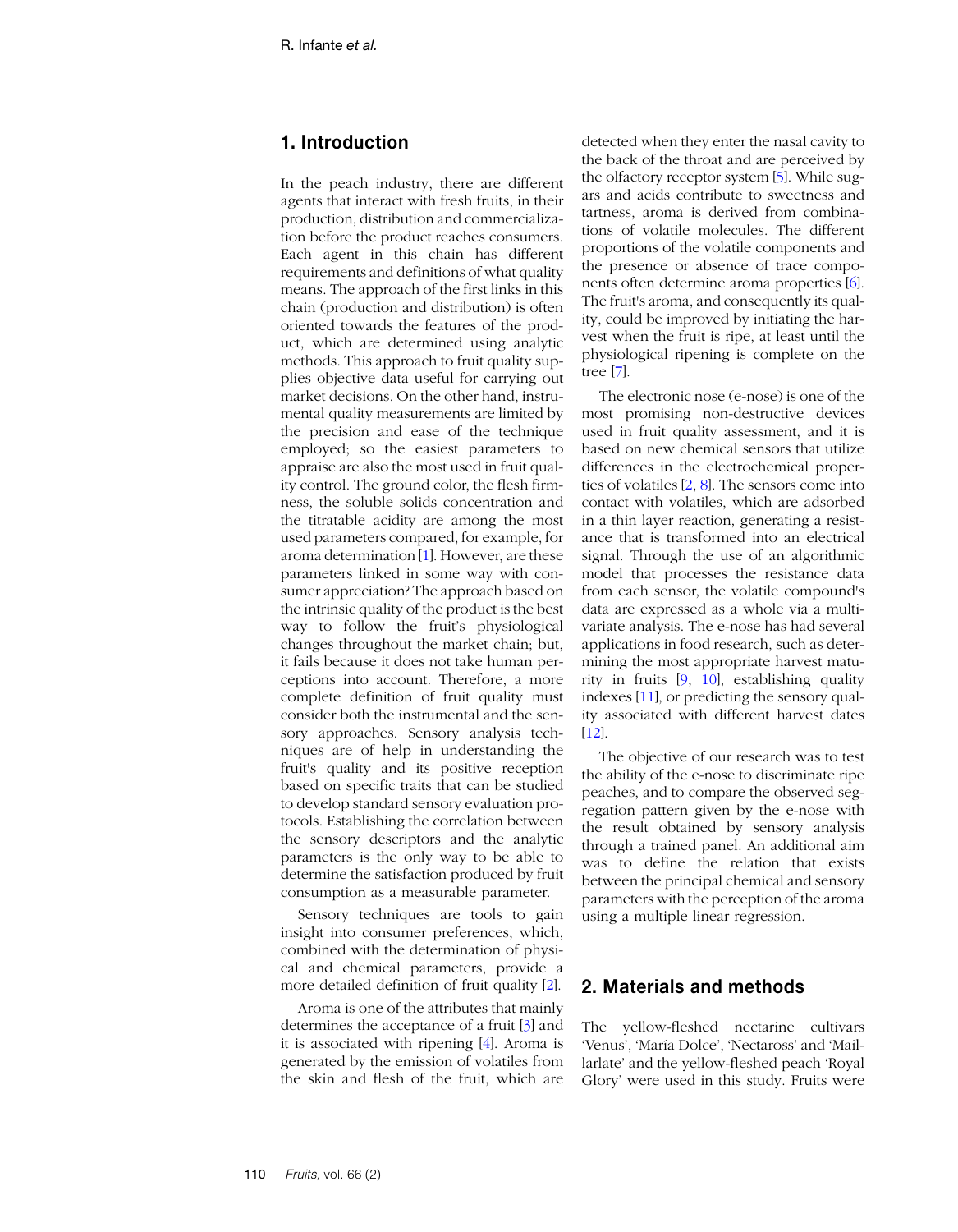# **1. Introduction**

In the peach industry, there are different agents that interact with fresh fruits, in their production, distribution and commercialization before the product reaches consumers. Each agent in this chain has different requirements and definitions of what quality means. The approach of the first links in this chain (production and distribution) is often oriented towards the features of the product, which are determined using analytic methods. This approach to fruit quality supplies objective data useful for carrying out market decisions. On the other hand, instrumental quality measurements are limited by the precision and ease of the technique employed; so the easiest parameters to appraise are also the most used in fruit quality control. The ground color, the flesh firmness, the soluble solids concentration and the titratable acidity are among the most used parameters compared, for example, for aroma determination [\[1](#page-8-0)]. However, are these parameters linked in some way with consumer appreciation? The approach based on the intrinsic quality of the product is the best way to follow the fruit's physiological changes throughout the market chain; but, it fails because it does not take human perceptions into account. Therefore, a more complete definition of fruit quality must consider both the instrumental and the sensory approaches. Sensory analysis techniques are of help in understanding the fruit's quality and its positive reception based on specific traits that can be studied to develop standard sensory evaluation protocols. Establishing the correlation between the sensory descriptors and the analytic parameters is the only way to be able to determine the satisfaction produced by fruit consumption as a measurable parameter.

Sensory techniques are tools to gain insight into consumer preferences, which, combined with the determination of physical and chemical parameters, provide a more detailed definition of fruit quality [\[2](#page-8-1)].

Aroma is one of the attributes that mainly determines the acceptance of a fruit [\[3\]](#page-8-2) and it is associated with ripening [[4\]](#page-8-3). Aroma is generated by the emission of volatiles from the skin and flesh of the fruit, which are

detected when they enter the nasal cavity to the back of the throat and are perceived by the olfactory receptor system [\[5](#page-8-4)]. While sugars and acids contribute to sweetness and tartness, aroma is derived from combinations of volatile molecules. The different proportions of the volatile components and the presence or absence of trace components often determine aroma properties [[6](#page-8-5)]. The fruit's aroma, and consequently its quality, could be improved by initiating the harvest when the fruit is ripe, at least until the physiological ripening is complete on the tree [\[7\]](#page-8-6).

The electronic nose (e-nose) is one of the most promising non-destructive devices used in fruit quality assessment, and it is based on new chemical sensors that utilize differences in the electrochemical properties of volatiles [[2](#page-8-1), [8\]](#page-8-7). The sensors come into contact with volatiles, which are adsorbed in a thin layer reaction, generating a resistance that is transformed into an electrical signal. Through the use of an algorithmic model that processes the resistance data from each sensor, the volatile compound's data are expressed as a whole via a multivariate analysis. The e-nose has had several applications in food research, such as determining the most appropriate harvest maturity in fruits [[9](#page-8-8), [10](#page-8-9)], establishing quality indexes [\[11\]](#page-8-11), or predicting the sensory quality associated with different harvest dates [[12](#page-8-10)].

The objective of our research was to test the ability of the e-nose to discriminate ripe peaches, and to compare the observed segregation pattern given by the e-nose with the result obtained by sensory analysis through a trained panel. An additional aim was to define the relation that exists between the principal chemical and sensory parameters with the perception of the aroma using a multiple linear regression.

# **2. Materials and methods**

The yellow-fleshed nectarine cultivars 'Venus', 'María Dolce', 'Nectaross' and 'Maillarlate' and the yellow-fleshed peach 'Royal Glory' were used in this study. Fruits were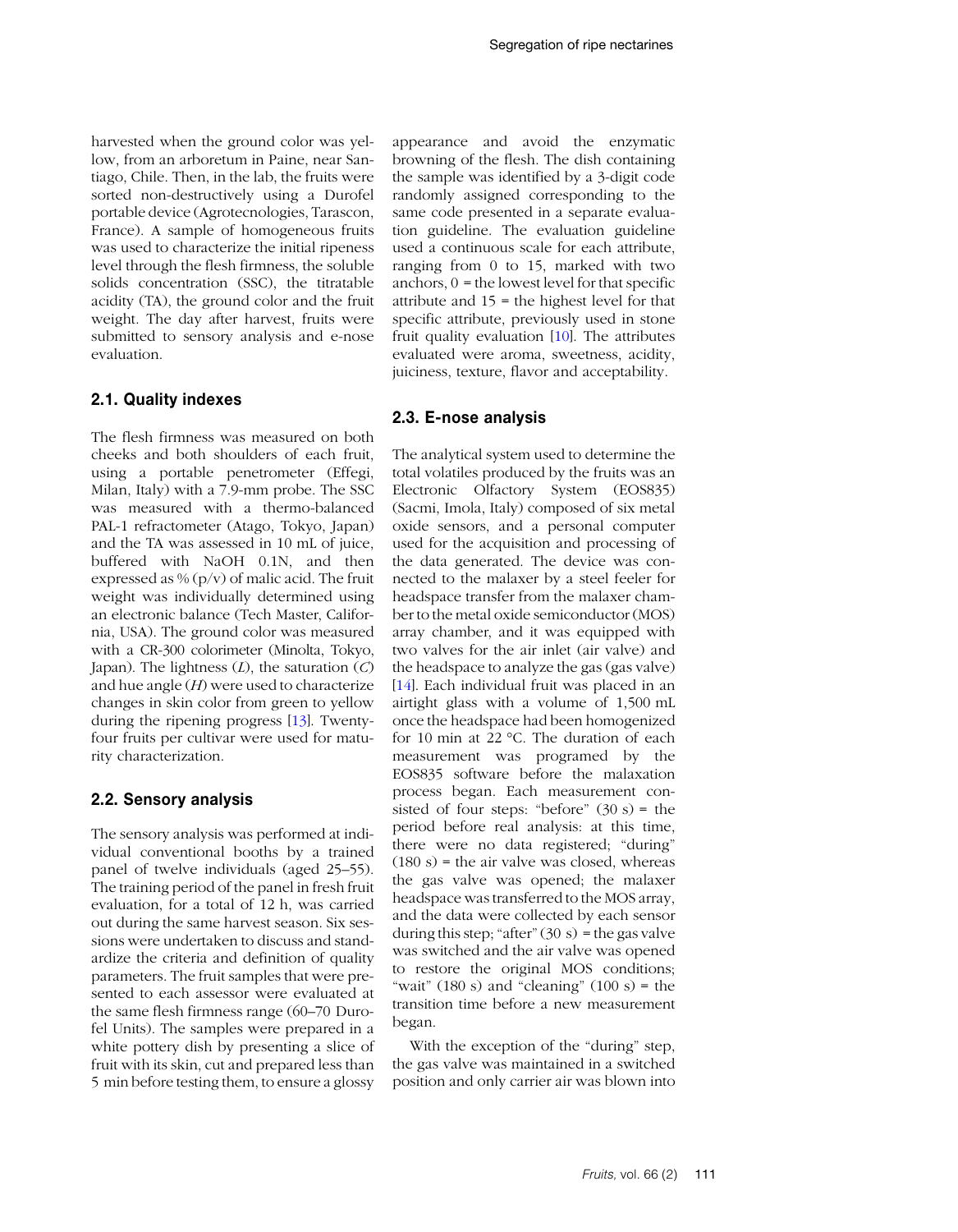harvested when the ground color was yellow, from an arboretum in Paine, near Santiago, Chile. Then, in the lab, the fruits were sorted non-destructively using a Durofel portable device (Agrotecnologies, Tarascon, France). A sample of homogeneous fruits was used to characterize the initial ripeness level through the flesh firmness, the soluble solids concentration (SSC), the titratable acidity (TA), the ground color and the fruit weight. The day after harvest, fruits were submitted to sensory analysis and e-nose evaluation.

## **2.1. Quality indexes**

The flesh firmness was measured on both cheeks and both shoulders of each fruit, using a portable penetrometer (Effegi, Milan, Italy) with a 7.9-mm probe. The SSC was measured with a thermo-balanced PAL-1 refractometer (Atago, Tokyo, Japan) and the TA was assessed in 10 mL of juice, buffered with NaOH 0.1N, and then expressed as %  $(p/v)$  of malic acid. The fruit weight was individually determined using an electronic balance (Tech Master, California, USA). The ground color was measured with a CR-300 colorimeter (Minolta, Tokyo, Japan). The lightness (*L*), the saturation (*C*) and hue angle (*H*) were used to characterize changes in skin color from green to yellow during the ripening progress [\[13\]](#page-8-13). Twentyfour fruits per cultivar were used for maturity characterization.

## **2.2. Sensory analysis**

The sensory analysis was performed at individual conventional booths by a trained panel of twelve individuals (aged 25–55). The training period of the panel in fresh fruit evaluation, for a total of 12 h, was carried out during the same harvest season. Six sessions were undertaken to discuss and standardize the criteria and definition of quality parameters. The fruit samples that were presented to each assessor were evaluated at the same flesh firmness range (60–70 Durofel Units). The samples were prepared in a white pottery dish by presenting a slice of fruit with its skin, cut and prepared less than 5 min before testing them, to ensure a glossy appearance and avoid the enzymatic browning of the flesh. The dish containing the sample was identified by a 3-digit code randomly assigned corresponding to the same code presented in a separate evaluation guideline. The evaluation guideline used a continuous scale for each attribute, ranging from 0 to 15, marked with two anchors,  $0 =$  the lowest level for that specific attribute and 15 = the highest level for that specific attribute, previously used in stone fruit quality evaluation [\[10\]](#page-8-9). The attributes evaluated were aroma, sweetness, acidity, juiciness, texture, flavor and acceptability.

## **2.3. E-nose analysis**

The analytical system used to determine the total volatiles produced by the fruits was an Electronic Olfactory System (EOS835) (Sacmi, Imola, Italy) composed of six metal oxide sensors, and a personal computer used for the acquisition and processing of the data generated. The device was connected to the malaxer by a steel feeler for headspace transfer from the malaxer chamber to the metal oxide semiconductor (MOS) array chamber, and it was equipped with two valves for the air inlet (air valve) and the headspace to analyze the gas (gas valve) [\[14\]](#page-8-12). Each individual fruit was placed in an airtight glass with a volume of 1,500 mL once the headspace had been homogenized for 10 min at 22 °C. The duration of each measurement was programed by the EOS835 software before the malaxation process began. Each measurement consisted of four steps: "before"  $(30 s)$  = the period before real analysis: at this time, there were no data registered; "during"  $(180 s)$  = the air valve was closed, whereas the gas valve was opened; the malaxer headspace was transferred to the MOS array, and the data were collected by each sensor during this step; "after"  $(30 s)$  = the gas valve was switched and the air valve was opened to restore the original MOS conditions; "wait"  $(180 s)$  and "cleaning"  $(100 s)$  = the transition time before a new measurement began.

With the exception of the "during" step, the gas valve was maintained in a switched position and only carrier air was blown into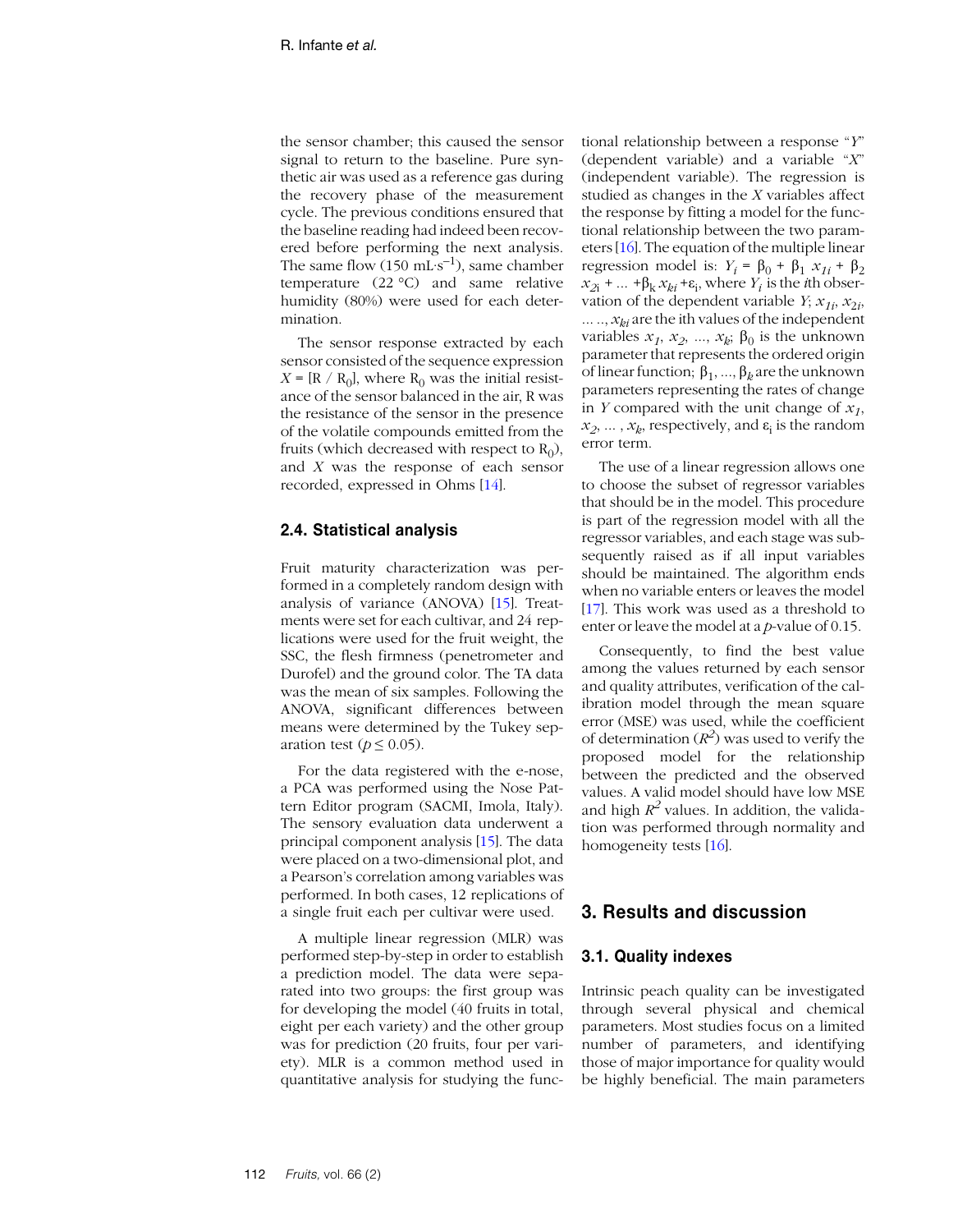the sensor chamber; this caused the sensor signal to return to the baseline. Pure synthetic air was used as a reference gas during the recovery phase of the measurement cycle. The previous conditions ensured that the baseline reading had indeed been recovered before performing the next analysis. The same flow  $(150 \text{ mL} \cdot \text{s}^{-1})$ , same chamber temperature (22 °C) and same relative humidity (80%) were used for each determination.

The sensor response extracted by each sensor consisted of the sequence expression  $X = [R / R_0]$ , where  $R_0$  was the initial resistance of the sensor balanced in the air, R was the resistance of the sensor in the presence of the volatile compounds emitted from the fruits (which decreased with respect to  $R_0$ ), and *X* was the response of each sensor recorded, expressed in Ohms [\[14\]](#page-8-12).

## **2.4. Statistical analysis**

Fruit maturity characterization was performed in a completely random design with analysis of variance (ANOVA) [[15](#page-8-14)]. Treatments were set for each cultivar, and 24 replications were used for the fruit weight, the SSC, the flesh firmness (penetrometer and Durofel) and the ground color. The TA data was the mean of six samples. Following the ANOVA, significant differences between means were determined by the Tukey separation test ( $p \leq 0.05$ ).

For the data registered with the e-nose, a PCA was performed using the Nose Pattern Editor program (SACMI, Imola, Italy). The sensory evaluation data underwent a principal component analysis [\[15\]](#page-8-14). The data were placed on a two-dimensional plot, and a Pearson's correlation among variables was performed. In both cases, 12 replications of a single fruit each per cultivar were used.

A multiple linear regression (MLR) was performed step-by-step in order to establish a prediction model. The data were separated into two groups: the first group was for developing the model (40 fruits in total, eight per each variety) and the other group was for prediction (20 fruits, four per variety). MLR is a common method used in quantitative analysis for studying the functional relationship between a response "*Y*" (dependent variable) and a variable "*X*" (independent variable). The regression is studied as changes in the *X* variables affect the response by fitting a model for the functional relationship between the two parameters [[16](#page-8-15)]. The equation of the multiple linear regression model is:  $Y_i = \beta_0 + \beta_1 x_{1i} + \beta_2$  $x_{2i}$  + ...  $+\beta_k x_{ki} + \varepsilon_i$ , where  $Y_i$  is the *i*th observation of the dependent variable  $Y$ ;  $x_{1i}$ ,  $x_{2i}$ ,  $...$ ,  $x_{ki}$  are the ith values of the independent variables  $x_1, x_2, ..., x_k$ ;  $\beta_0$  is the unknown parameter that represents the ordered origin of linear function; β1, ..., β*k* are the unknown parameters representing the rates of change in *Y* compared with the unit change of  $x_1$ ,  $x_2, \ldots, x_k$ , respectively, and  $\varepsilon_i$  is the random error term.

The use of a linear regression allows one to choose the subset of regressor variables that should be in the model. This procedure is part of the regression model with all the regressor variables, and each stage was subsequently raised as if all input variables should be maintained. The algorithm ends when no variable enters or leaves the model [[17](#page-9-0)]. This work was used as a threshold to enter or leave the model at a *p*-value of 0.15.

Consequently, to find the best value among the values returned by each sensor and quality attributes, verification of the calibration model through the mean square error (MSE) was used, while the coefficient of determination  $(R^2)$  was used to verify the proposed model for the relationship between the predicted and the observed values. A valid model should have low MSE and high  $R^2$  values. In addition, the validation was performed through normality and homogeneity tests [[16](#page-8-15)].

## **3. Results and discussion**

## **3.1. Quality indexes**

Intrinsic peach quality can be investigated through several physical and chemical parameters. Most studies focus on a limited number of parameters, and identifying those of major importance for quality would be highly beneficial. The main parameters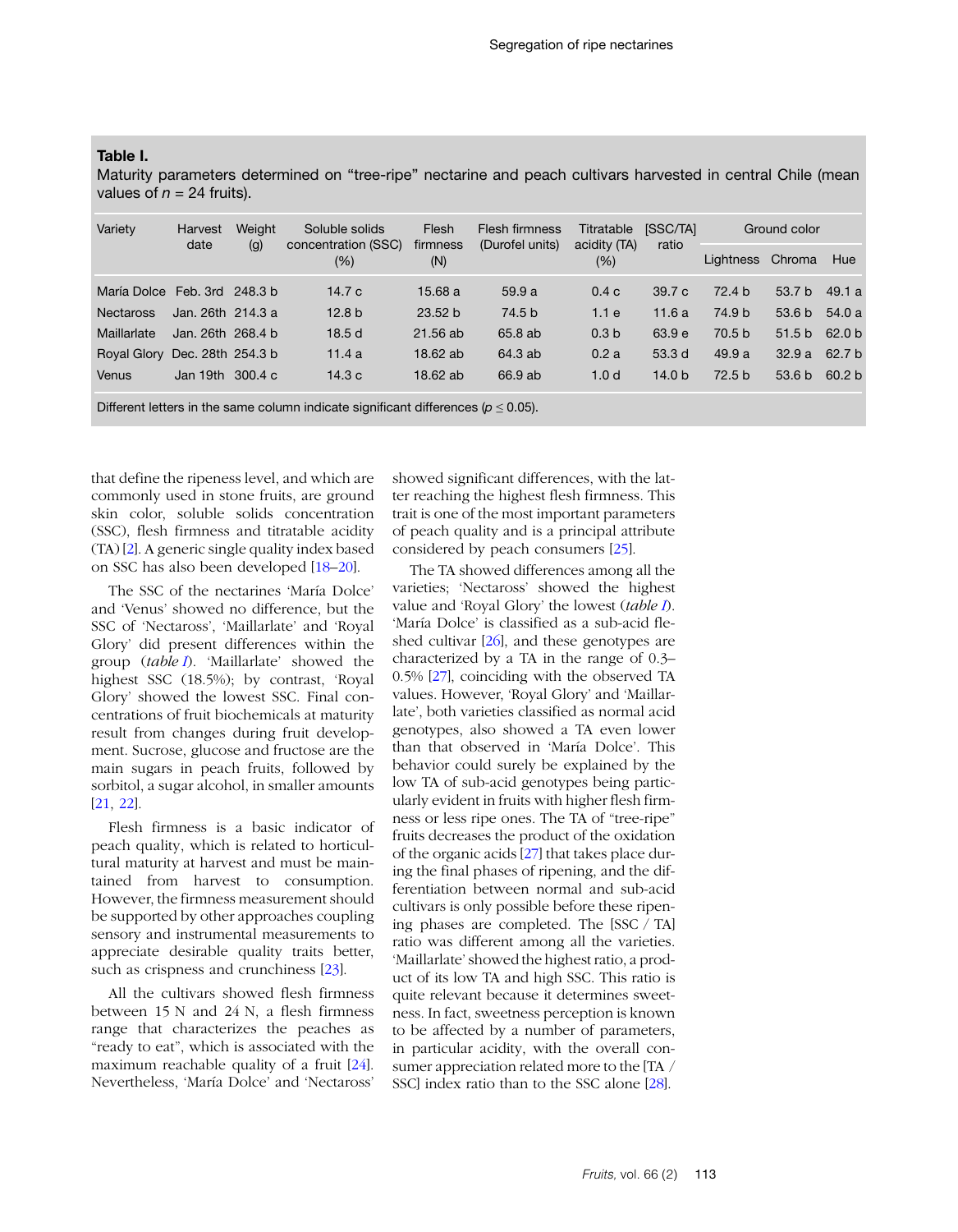## <span id="page-4-0"></span>**Table I.**

Maturity parameters determined on "tree-ripe" nectarine and peach cultivars harvested in central Chile (mean values of  $n = 24$  fruits).

| Variety                      | Harvest<br>date   | Weight<br>(g) | Soluble solids<br>concentration (SSC)<br>$(\% )$ | Flesh<br>firmness<br>(N) | Flesh firmness<br>(Durofel units) | Titratable<br>acidity (TA)<br>(%) | [SSC/TA]<br>ratio | Ground color      |                   |                   |
|------------------------------|-------------------|---------------|--------------------------------------------------|--------------------------|-----------------------------------|-----------------------------------|-------------------|-------------------|-------------------|-------------------|
|                              |                   |               |                                                  |                          |                                   |                                   |                   | Lightness         | Chroma            | Hue               |
| María Dolce Feb. 3rd 248.3 b |                   |               | 14.7c                                            | 15.68a                   | 59.9a                             | 0.4c                              | 39.7c             | 72.4 <sub>b</sub> | 53.7 <sub>b</sub> | 49.1 a            |
| <b>Nectaross</b>             | Jan. 26th 214.3 a |               | 12.8 <sub>b</sub>                                | 23.52 b                  | 74.5 <sub>b</sub>                 | 1.1e                              | 11.6a             | 74.9 b            | 53.6 b            | 54.0a             |
| Maillarlate                  | Jan. 26th 268.4 b |               | 18.5d                                            | $21.56$ ab               | 65.8 ab                           | 0.3 <sub>b</sub>                  | 63.9 e            | 70.5 <sub>b</sub> | 51.5 b            | 62.0 <sub>b</sub> |
| <b>Royal Glory</b>           | Dec. 28th 254.3 b |               | 11.4a                                            | 18.62 ab                 | 64.3 ab                           | 0.2a                              | 53.3d             | 49.9a             | 32.9a             | 62.7 <sub>b</sub> |
| Venus                        | Jan 19th          | 300.4c        | 14.3c                                            | 18.62 ab                 | 66.9 ab                           | 1.0 <sub>d</sub>                  | 14.0 <sub>b</sub> | 72.5 <sub>b</sub> | 53.6 <sub>b</sub> | 60.2 <sub>b</sub> |

Different letters in the same column indicate significant differences ( $p \le 0.05$ ).

that define the ripeness level, and which are commonly used in stone fruits, are ground skin color, soluble solids concentration (SSC), flesh firmness and titratable acidity (TA) [[2](#page-8-1)]. A generic single quality index based on SSC has also been developed [[18](#page-9-1)–[20](#page-9-2)].

The SSC of the nectarines 'María Dolce' and 'Venus' showed no difference, but the SSC of 'Nectaross', 'Maillarlate' and 'Royal Glory' did present differences within the group (*table I*). 'Maillarlate' showed the highest SSC (18.5%); by contrast, 'Royal Glory' showed the lowest SSC. Final concentrations of fruit biochemicals at maturity result from changes during fruit development. Sucrose, glucose and fructose are the main sugars in peach fruits, followed by sorbitol, a sugar alcohol, in smaller amounts [[21](#page-9-3), [22](#page-9-4)].

Flesh firmness is a basic indicator of peach quality, which is related to horticultural maturity at harvest and must be maintained from harvest to consumption. However, the firmness measurement should be supported by other approaches coupling sensory and instrumental measurements to appreciate desirable quality traits better, such as crispness and crunchiness [[23](#page-9-5)].

All the cultivars showed flesh firmness between 15 N and 24 N, a flesh firmness range that characterizes the peaches as "ready to eat", which is associated with the maximum reachable quality of a fruit [\[24\]](#page-9-6). Nevertheless, 'María Dolce' and 'Nectaross'

showed significant differences, with the latter reaching the highest flesh firmness. This trait is one of the most important parameters of peach quality and is a principal attribute considered by peach consumers [\[25\]](#page-9-7).

The TA showed differences among all the varieties; 'Nectaross' showed the highest value and 'Royal Glory' the lowest (*table I*). 'María Dolce' is classified as a sub-acid fleshed cultivar [[26\]](#page-9-8), and these genotypes are characterized by a TA in the range of 0.3– 0.5% [\[27\]](#page-9-9), coinciding with the observed TA values. However, 'Royal Glory' and 'Maillarlate', both varieties classified as normal acid genotypes, also showed a TA even lower than that observed in 'María Dolce'. This behavior could surely be explained by the low TA of sub-acid genotypes being particularly evident in fruits with higher flesh firmness or less ripe ones. The TA of "tree-ripe" fruits decreases the product of the oxidation of the organic acids [\[27\]](#page-9-9) that takes place during the final phases of ripening, and the differentiation between normal and sub-acid cultivars is only possible before these ripening phases are completed. The [SSC / TA] ratio was different among all the varieties. 'Maillarlate' showed the highest ratio, a product of its low TA and high SSC. This ratio is quite relevant because it determines sweetness. In fact, sweetness perception is known to be affected by a number of parameters, in particular acidity, with the overall consumer appreciation related more to the [TA / SSC] index ratio than to the SSC alone [\[28](#page-9-10)].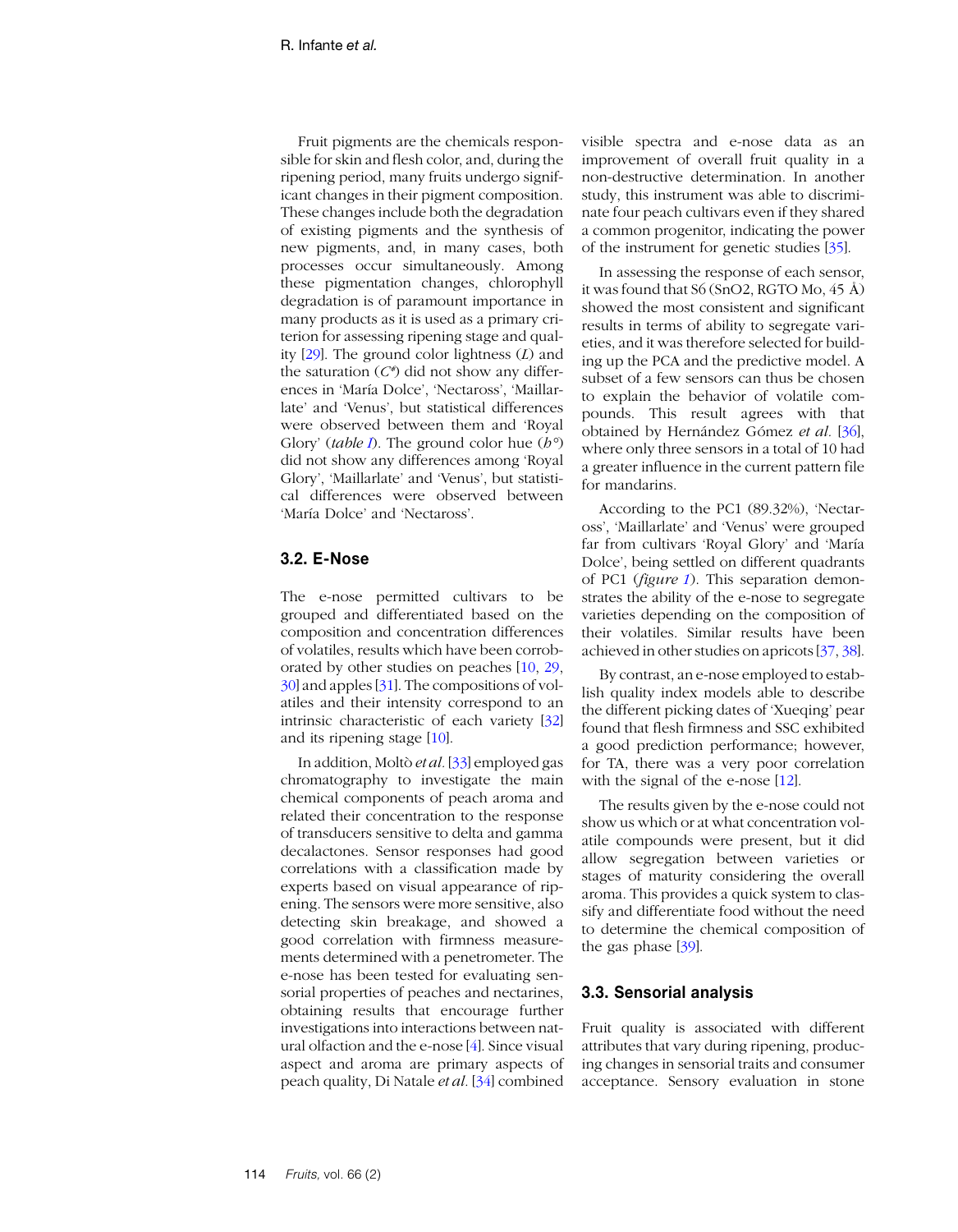Fruit pigments are the chemicals responsible for skin and flesh color, and, during the ripening period, many fruits undergo significant changes in their pigment composition. These changes include both the degradation of existing pigments and the synthesis of new pigments, and, in many cases, both processes occur simultaneously. Among these pigmentation changes, chlorophyll degradation is of paramount importance in many products as it is used as a primary criterion for assessing ripening stage and quality [[29](#page-9-11)]. The ground color lightness (*L*) and the saturation (*C\**) did not show any differences in 'María Dolce', 'Nectaross', 'Maillarlate' and 'Venus', but statistical differences were observed between them and 'Royal Glory' (*table [I](#page-4-0)*). The ground color hue (*h°*) did not show any differences among 'Royal Glory', 'Maillarlate' and 'Venus', but statistical differences were observed between 'María Dolce' and 'Nectaross'.

## **3.2. E-Nose**

The e-nose permitted cultivars to be grouped and differentiated based on the composition and concentration differences of volatiles, results which have been corroborated by other studies on peaches [\[10,](#page-8-9) [29,](#page-9-11) [30\]](#page-9-12) and apples [\[31\]](#page-9-13). The compositions of volatiles and their intensity correspond to an intrinsic characteristic of each variety [\[32\]](#page-9-14) and its ripening stage [[10](#page-8-9)].

In addition, Moltò *et al.* [[33](#page-9-15)] employed gas chromatography to investigate the main chemical components of peach aroma and related their concentration to the response of transducers sensitive to delta and gamma decalactones. Sensor responses had good correlations with a classification made by experts based on visual appearance of ripening. The sensors were more sensitive, also detecting skin breakage, and showed a good correlation with firmness measurements determined with a penetrometer. The e-nose has been tested for evaluating sensorial properties of peaches and nectarines, obtaining results that encourage further investigations into interactions between natural olfaction and the e-nose [[4\]](#page-8-3). Since visual aspect and aroma are primary aspects of peach quality, Di Natale *et al.* [[34](#page-9-16)] combined

visible spectra and e-nose data as an improvement of overall fruit quality in a non-destructive determination. In another study, this instrument was able to discriminate four peach cultivars even if they shared a common progenitor, indicating the power of the instrument for genetic studies [[35](#page-9-17)].

In assessing the response of each sensor, it was found that S6 (SnO2, RGTO Mo, 45 Å) showed the most consistent and significant results in terms of ability to segregate varieties, and it was therefore selected for building up the PCA and the predictive model. A subset of a few sensors can thus be chosen to explain the behavior of volatile compounds. This result agrees with that obtained by Hernández Gómez *et al.* [[36](#page-9-18)], where only three sensors in a total of 10 had a greater influence in the current pattern file for mandarins.

According to the PC1 (89.32%), 'Nectaross', 'Maillarlate' and 'Venus' were grouped far from cultivars 'Royal Glory' and 'María Dolce', being settled on different quadrants of PC1 (*figure [1](#page-6-0)*). This separation demonstrates the ability of the e-nose to segregate varieties depending on the composition of their volatiles. Similar results have been achieved in other studies on apricots [\[37,](#page-9-19) [38](#page-9-20)].

By contrast, an e-nose employed to establish quality index models able to describe the different picking dates of 'Xueqing' pear found that flesh firmness and SSC exhibited a good prediction performance; however, for TA, there was a very poor correlation with the signal of the e-nose [[12](#page-8-10)].

The results given by the e-nose could not show us which or at what concentration volatile compounds were present, but it did allow segregation between varieties or stages of maturity considering the overall aroma. This provides a quick system to classify and differentiate food without the need to determine the chemical composition of the gas phase [[39](#page-9-21)].

## **3.3. Sensorial analysis**

Fruit quality is associated with different attributes that vary during ripening, producing changes in sensorial traits and consumer acceptance. Sensory evaluation in stone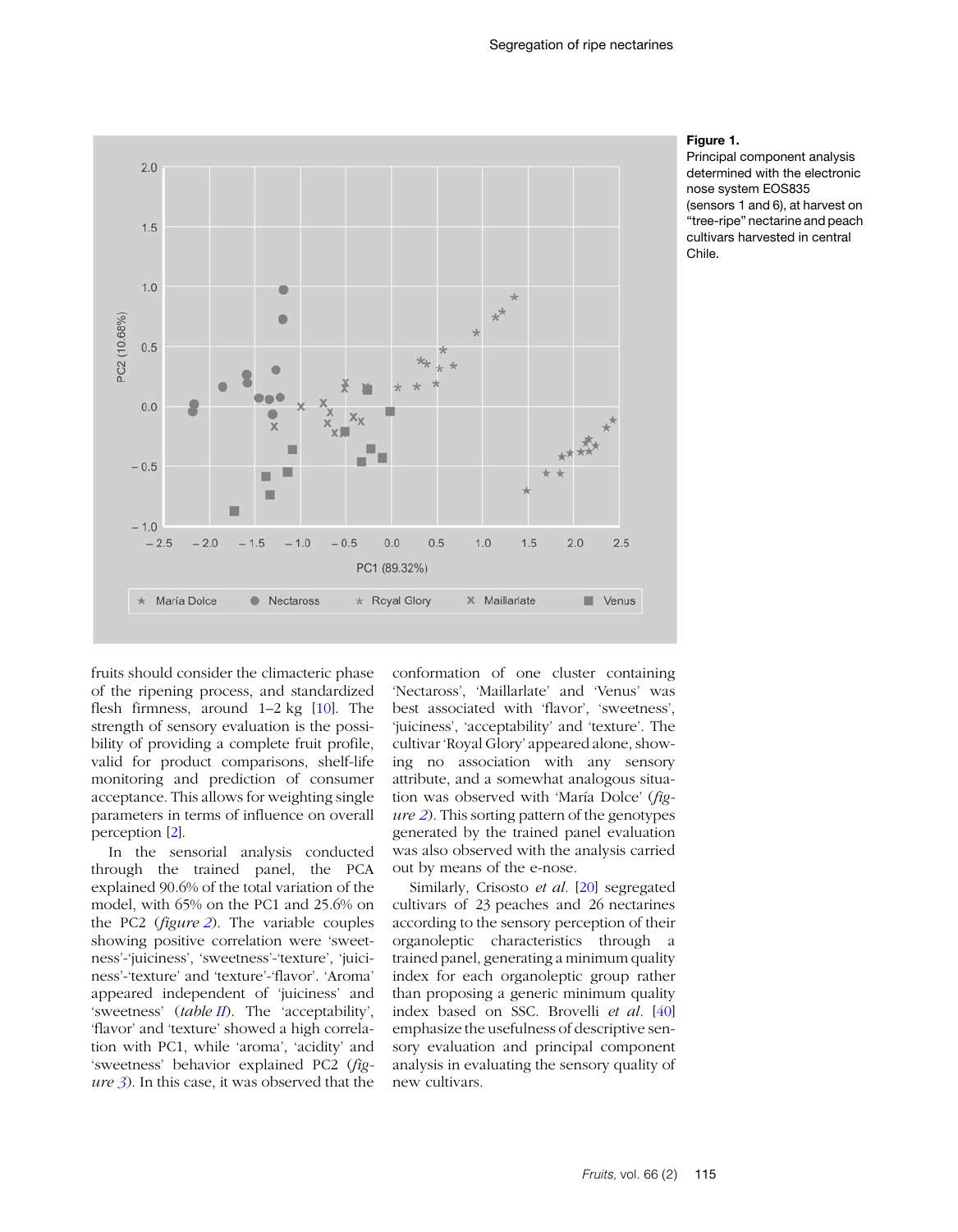<span id="page-6-0"></span>

#### **Figure 1.**

Principal component analysis determined with the electronic nose system EOS835 (sensors 1 and 6), at harvest on "tree-ripe" nectarine and peach cultivars harvested in central Chile.

fruits should consider the climacteric phase of the ripening process, and standardized flesh firmness, around 1–2 kg [\[10\]](#page-8-9). The strength of sensory evaluation is the possibility of providing a complete fruit profile, valid for product comparisons, shelf-life monitoring and prediction of consumer acceptance. This allows for weighting single parameters in terms of influence on overall perception [[2\]](#page-8-1).

In the sensorial analysis conducted through the trained panel, the PCA explained 90.6% of the total variation of the model, with 65% on the PC1 and 25.6% on the PC2 (*figure [2](#page-7-0)*). The variable couples showing positive correlation were 'sweetness'-'juiciness', 'sweetness'-'texture', 'juiciness'-'texture' and 'texture'-'flavor'. 'Aroma' appeared independent of 'juiciness' and 'sweetness' (*table [II](#page-7-0)*). The 'acceptability', 'flavor' and 'texture' showed a high correlation with PC1, while 'aroma', 'acidity' and 'sweetness' behavior explained PC2 (*figure [3](#page-8-16)*). In this case, it was observed that the conformation of one cluster containing 'Nectaross', 'Maillarlate' and 'Venus' was best associated with 'flavor', 'sweetness', 'juiciness', 'acceptability' and 'texture'. The cultivar 'Royal Glory' appeared alone, showing no association with any sensory attribute, and a somewhat analogous situation was observed with 'María Dolce' (*figure [2](#page-7-0)*). This sorting pattern of the genotypes generated by the trained panel evaluation was also observed with the analysis carried out by means of the e-nose.

Similarly, Crisosto *et al.* [[20](#page-9-2)] segregated cultivars of 23 peaches and 26 nectarines according to the sensory perception of their organoleptic characteristics through a trained panel, generating a minimum quality index for each organoleptic group rather than proposing a generic minimum quality index based on SSC. Brovelli *et al.* [[40](#page-10-0)] emphasize the usefulness of descriptive sensory evaluation and principal component analysis in evaluating the sensory quality of new cultivars.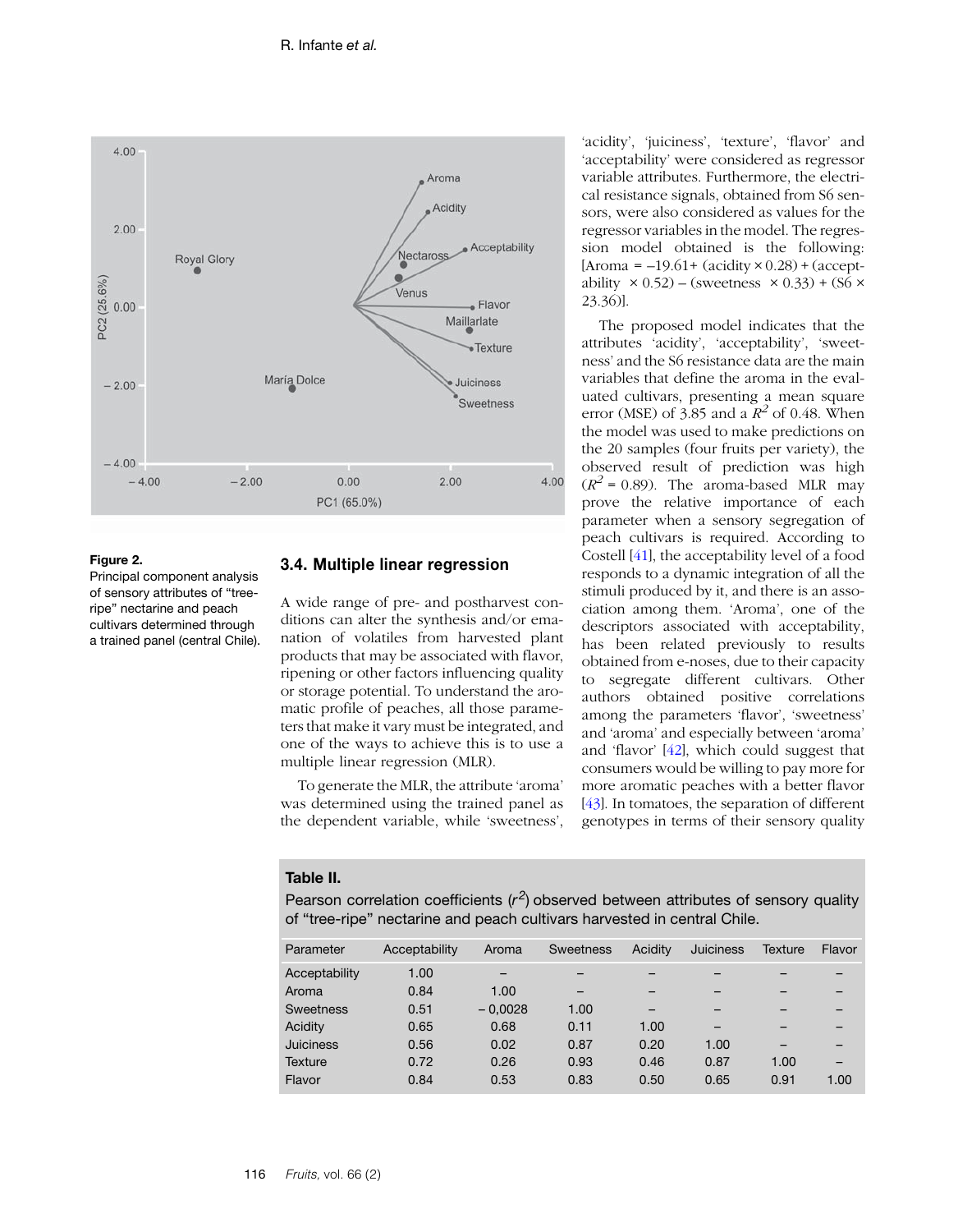<span id="page-7-0"></span>

#### **Figure 2.**

Principal component analysis of sensory attributes of "treeripe" nectarine and peach cultivars determined through a trained panel (central Chile).

## **3.4. Multiple linear regression**

A wide range of pre- and postharvest conditions can alter the synthesis and/or emanation of volatiles from harvested plant products that may be associated with flavor, ripening or other factors influencing quality or storage potential. To understand the aromatic profile of peaches, all those parameters that make it vary must be integrated, and one of the ways to achieve this is to use a multiple linear regression (MLR).

To generate the MLR, the attribute 'aroma' was determined using the trained panel as the dependent variable, while 'sweetness', 'acidity', 'juiciness', 'texture', 'flavor' and 'acceptability' were considered as regressor variable attributes. Furthermore, the electrical resistance signals, obtained from S6 sensors, were also considered as values for the regressor variables in the model. The regression model obtained is the following:  $[Area = -19.61 + (acidity \times 0.28) + (accept$ ability  $\times$  0.52) – (sweetness  $\times$  0.33) + (S6  $\times$ 23.36)].

The proposed model indicates that the attributes 'acidity', 'acceptability', 'sweetness' and the S6 resistance data are the main variables that define the aroma in the evaluated cultivars, presenting a mean square error (MSE) of 3.85 and a  $R^2$  of 0.48. When the model was used to make predictions on the 20 samples (four fruits per variety), the observed result of prediction was high  $(R^2 = 0.89)$ . The aroma-based MLR may prove the relative importance of each parameter when a sensory segregation of peach cultivars is required. According to Costell [[41](#page-10-2)], the acceptability level of a food responds to a dynamic integration of all the stimuli produced by it, and there is an association among them. 'Aroma', one of the descriptors associated with acceptability, has been related previously to results obtained from e-noses, due to their capacity to segregate different cultivars. Other authors obtained positive correlations among the parameters 'flavor', 'sweetness' and 'aroma' and especially between 'aroma' and 'flavor' [\[42\]](#page-10-1), which could suggest that consumers would be willing to pay more for more aromatic peaches with a better flavor [[43](#page-10-3)]. In tomatoes, the separation of different genotypes in terms of their sensory quality

#### **Table II.**

Pearson correlation coefficients ( $r^2$ ) observed between attributes of sensory quality of "tree-ripe" nectarine and peach cultivars harvested in central Chile.

| Parameter        | Acceptability | Aroma     | <b>Sweetness</b> | Acidity | <b>Juiciness</b> | Texture | Flavor |
|------------------|---------------|-----------|------------------|---------|------------------|---------|--------|
| Acceptability    | 1.00          |           |                  |         |                  |         |        |
| Aroma            | 0.84          | 1.00      |                  | -       |                  |         |        |
| <b>Sweetness</b> | 0.51          | $-0.0028$ | 1.00             |         |                  |         |        |
| Acidity          | 0.65          | 0.68      | 0.11             | 1.00    |                  |         |        |
| <b>Juiciness</b> | 0.56          | 0.02      | 0.87             | 0.20    | 1.00             |         |        |
| <b>Texture</b>   | 0.72          | 0.26      | 0.93             | 0.46    | 0.87             | 1.00    |        |
| Flavor           | 0.84          | 0.53      | 0.83             | 0.50    | 0.65             | 0.91    | 1.00   |
|                  |               |           |                  |         |                  |         |        |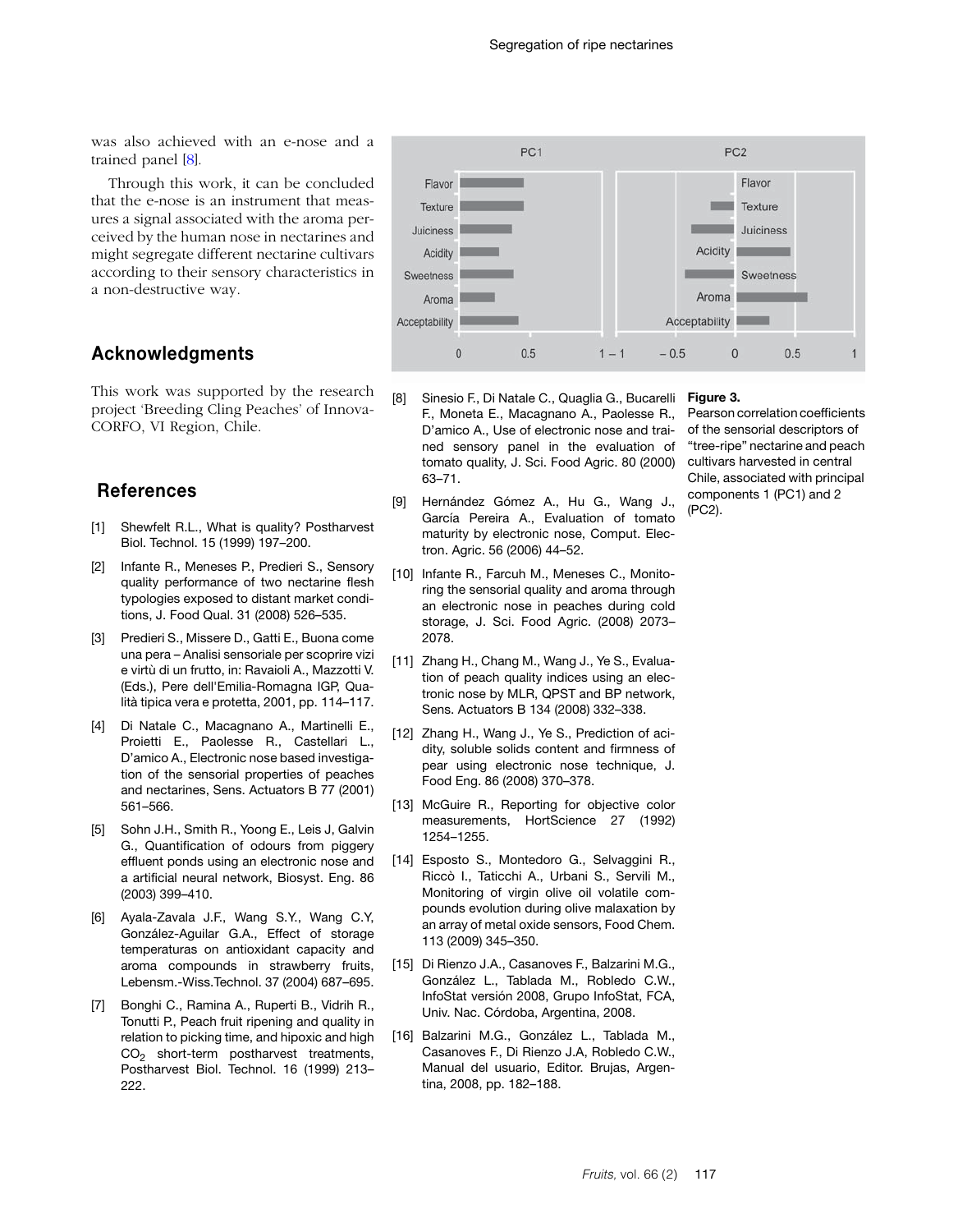<span id="page-8-16"></span>was also achieved with an e-nose and a trained panel [[8\]](#page-8-7).

Through this work, it can be concluded that the e-nose is an instrument that measures a signal associated with the aroma perceived by the human nose in nectarines and might segregate different nectarine cultivars according to their sensory characteristics in a non-destructive way.

# **Acknowledgments**

This work was supported by the research project 'Breeding Cling Peaches' of Innova-CORFO, VI Region, Chile.

## **References**

- <span id="page-8-0"></span>[1] Shewfelt R.L., What is quality? Postharvest Biol. Technol. 15 (1999) 197–200.
- <span id="page-8-1"></span>[2] Infante R., Meneses P., Predieri S., Sensory quality performance of two nectarine flesh typologies exposed to distant market conditions, J. Food Qual. 31 (2008) 526–535.
- <span id="page-8-2"></span>[3] Predieri S., Missere D., Gatti E., Buona come una pera – Analisi sensoriale per scoprire vizi e virtù di un frutto, in: Ravaioli A., Mazzotti V. (Eds.), Pere dell'Emilia-Romagna IGP, Qualità tipica vera e protetta, 2001, pp. 114–117.
- <span id="page-8-3"></span>[4] Di Natale C., Macagnano A., Martinelli E., Proietti E., Paolesse R., Castellari L., D'amico A., Electronic nose based investigation of the sensorial properties of peaches and nectarines, Sens. Actuators B 77 (2001) 561–566.
- <span id="page-8-4"></span>[5] Sohn J.H., Smith R., Yoong E., Leis J, Galvin G., Quantification of odours from piggery effluent ponds using an electronic nose and a artificial neural network, Biosyst. Eng. 86 (2003) 399–410.
- <span id="page-8-5"></span>[6] Ayala-Zavala J.F., Wang S.Y., Wang C.Y, González-Aguilar G.A., Effect of storage temperaturas on antioxidant capacity and aroma compounds in strawberry fruits, Lebensm.-Wiss.Technol. 37 (2004) 687–695.
- <span id="page-8-6"></span>[7] Bonghi C., Ramina A., Ruperti B., Vidrih R., Tonutti P., Peach fruit ripening and quality in relation to picking time, and hipoxic and high  $CO<sub>2</sub>$  short-term postharvest treatments, Postharvest Biol. Technol. 16 (1999) 213– 222.



- <span id="page-8-7"></span>[8] Sinesio F., Di Natale C., Quaglia G., Bucarelli F., Moneta E., Macagnano A., Paolesse R., D'amico A., Use of electronic nose and trained sensory panel in the evaluation of tomato quality, J. Sci. Food Agric. 80 (2000) 63–71.
- <span id="page-8-8"></span>[9] Hernández Gómez A., Hu G., Wang J., García Pereira A., Evaluation of tomato maturity by electronic nose, Comput. Electron. Agric. 56 (2006) 44–52.
- <span id="page-8-9"></span>[10] Infante R., Farcuh M., Meneses C., Monitoring the sensorial quality and aroma through an electronic nose in peaches during cold storage, J. Sci. Food Agric. (2008) 2073– 2078.
- <span id="page-8-11"></span>[11] Zhang H., Chang M., Wang J., Ye S., Evaluation of peach quality indices using an electronic nose by MLR, QPST and BP network, Sens. Actuators B 134 (2008) 332–338.
- <span id="page-8-10"></span>[12] Zhang H., Wang J., Ye S., Prediction of acidity, soluble solids content and firmness of pear using electronic nose technique, J. Food Eng. 86 (2008) 370–378.
- <span id="page-8-13"></span>[13] McGuire R., Reporting for objective color measurements, HortScience 27 (1992) 1254–1255.
- <span id="page-8-12"></span>[14] Esposto S., Montedoro G., Selvaggini R., Riccò I., Taticchi A., Urbani S., Servili M., Monitoring of virgin olive oil volatile compounds evolution during olive malaxation by an array of metal oxide sensors, Food Chem. 113 (2009) 345–350.
- <span id="page-8-14"></span>[15] Di Rienzo J.A., Casanoves F., Balzarini M.G., González L., Tablada M., Robledo C.W., InfoStat versión 2008, Grupo InfoStat, FCA, Univ. Nac. Córdoba, Argentina, 2008.
- <span id="page-8-15"></span>[16] Balzarini M.G., González L., Tablada M., Casanoves F., Di Rienzo J.A, Robledo C.W., Manual del usuario, Editor. Brujas, Argentina, 2008, pp. 182–188.

#### **Figure 3.**

Pearson correlation coefficients of the sensorial descriptors of "tree-ripe" nectarine and peach cultivars harvested in central Chile, associated with principal components 1 (PC1) and 2 (PC2).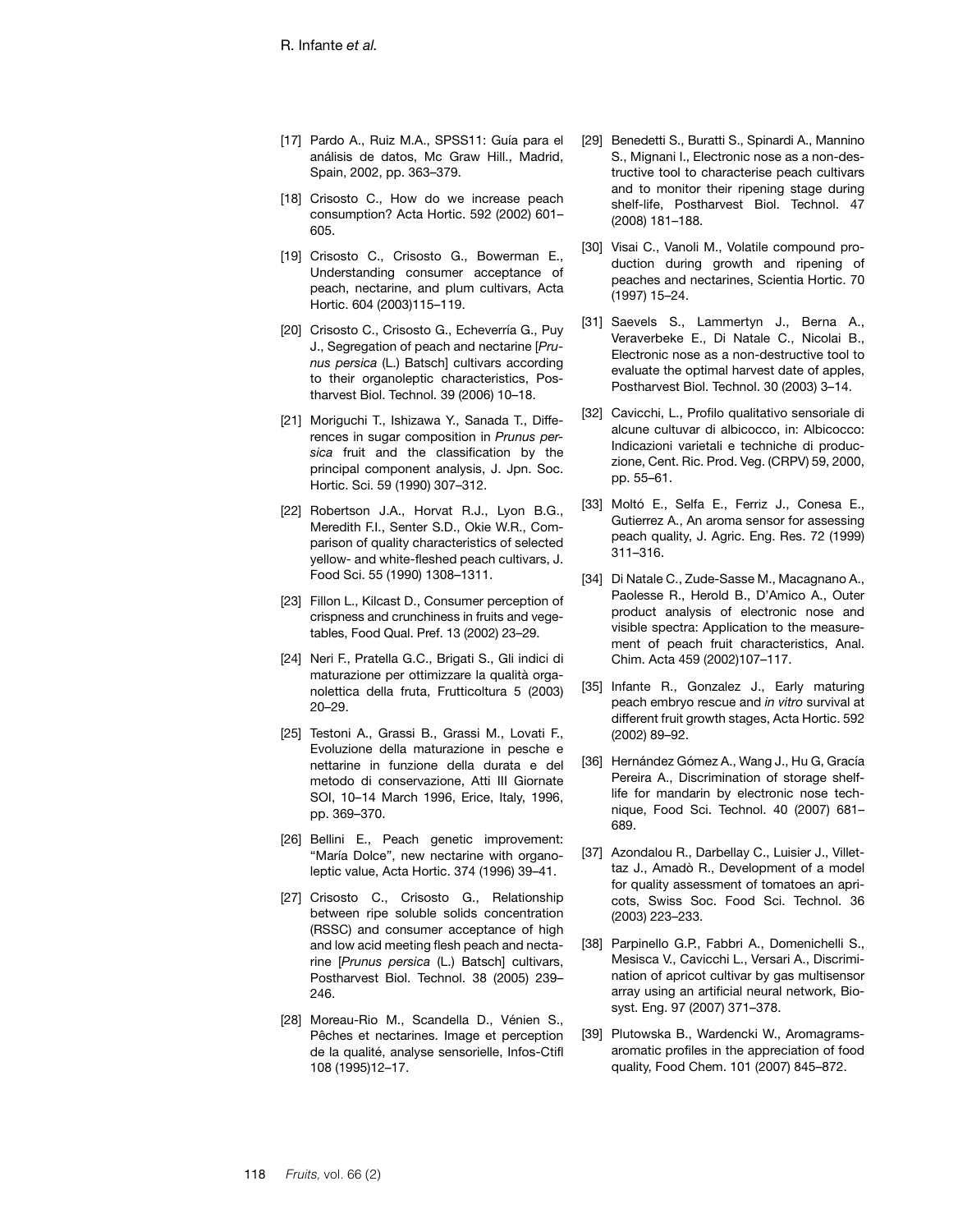- <span id="page-9-0"></span>[17] Pardo A., Ruiz M.A., SPSS11: Guía para el análisis de datos, Mc Graw Hill., Madrid, Spain, 2002, pp. 363–379.
- <span id="page-9-1"></span>[18] Crisosto C., How do we increase peach consumption? Acta Hortic. 592 (2002) 601– 605.
- [19] Crisosto C., Crisosto G., Bowerman E., Understanding consumer acceptance of peach, nectarine, and plum cultivars, Acta Hortic. 604 (2003)115–119.
- <span id="page-9-2"></span>[20] Crisosto C., Crisosto G., Echeverría G., Puy J., Segregation of peach and nectarine [*Prunus persica* (L.) Batsch] cultivars according to their organoleptic characteristics, Postharvest Biol. Technol. 39 (2006) 10–18.
- <span id="page-9-3"></span>[21] Moriguchi T., Ishizawa Y., Sanada T., Differences in sugar composition in *Prunus persica* fruit and the classification by the principal component analysis, J. Jpn. Soc. Hortic. Sci. 59 (1990) 307–312.
- <span id="page-9-4"></span>[22] Robertson J.A., Horvat R.J., Lyon B.G., Meredith F.I., Senter S.D., Okie W.R., Comparison of quality characteristics of selected yellow- and white-fleshed peach cultivars, J. Food Sci. 55 (1990) 1308–1311.
- <span id="page-9-5"></span>[23] Fillon L., Kilcast D., Consumer perception of crispness and crunchiness in fruits and vegetables, Food Qual. Pref. 13 (2002) 23–29.
- <span id="page-9-6"></span>[24] Neri F., Pratella G.C., Brigati S., Gli indici di maturazione per ottimizzare la qualità organolettica della fruta, Frutticoltura 5 (2003) 20–29.
- <span id="page-9-7"></span>[25] Testoni A., Grassi B., Grassi M., Lovati F., Evoluzione della maturazione in pesche e nettarine in funzione della durata e del metodo di conservazione, Atti III Giornate SOI, 10–14 March 1996, Erice, Italy, 1996, pp. 369–370.
- <span id="page-9-8"></span>[26] Bellini E., Peach genetic improvement: "María Dolce", new nectarine with organoleptic value, Acta Hortic. 374 (1996) 39–41.
- <span id="page-9-9"></span>[27] Crisosto C., Crisosto G., Relationship between ripe soluble solids concentration (RSSC) and consumer acceptance of high and low acid meeting flesh peach and nectarine [*Prunus persica* (L.) Batsch] cultivars, Postharvest Biol. Technol. 38 (2005) 239– 246.
- <span id="page-9-10"></span>[28] Moreau-Rio M., Scandella D., Vénien S., Pêches et nectarines. Image et perception de la qualité, analyse sensorielle, Infos-Ctifl 108 (1995)12–17.
- <span id="page-9-11"></span>[29] Benedetti S., Buratti S., Spinardi A., Mannino S., Mignani I., Electronic nose as a non-destructive tool to characterise peach cultivars and to monitor their ripening stage during shelf-life, Postharvest Biol. Technol. 47 (2008) 181–188.
- <span id="page-9-12"></span>[30] Visai C., Vanoli M., Volatile compound production during growth and ripening of peaches and nectarines, Scientia Hortic. 70 (1997) 15–24.
- <span id="page-9-13"></span>[31] Saevels S., Lammertyn J., Berna A., Veraverbeke E., Di Natale C., Nicolai B., Electronic nose as a non-destructive tool to evaluate the optimal harvest date of apples, Postharvest Biol. Technol. 30 (2003) 3–14.
- <span id="page-9-14"></span>[32] Cavicchi, L., Profilo qualitativo sensoriale di alcune cultuvar di albicocco, in: Albicocco: Indicazioni varietali e techniche di produczione, Cent. Ric. Prod. Veg. (CRPV) 59, 2000, pp. 55–61.
- <span id="page-9-15"></span>[33] Moltó E., Selfa E., Ferriz J., Conesa E., Gutierrez A., An aroma sensor for assessing peach quality, J. Agric. Eng. Res. 72 (1999) 311–316.
- <span id="page-9-16"></span>[34] Di Natale C., Zude-Sasse M., Macagnano A., Paolesse R., Herold B., D'Amico A., Outer product analysis of electronic nose and visible spectra: Application to the measurement of peach fruit characteristics, Anal. Chim. Acta 459 (2002)107–117.
- <span id="page-9-17"></span>[35] Infante R., Gonzalez J., Early maturing peach embryo rescue and *in vitro* survival at different fruit growth stages, Acta Hortic. 592 (2002) 89–92.
- <span id="page-9-18"></span>[36] Hernández Gómez A., Wang J., Hu G, Gracía Pereira A., Discrimination of storage shelflife for mandarin by electronic nose technique, Food Sci. Technol. 40 (2007) 681– 689.
- <span id="page-9-19"></span>[37] Azondalou R., Darbellay C., Luisier J., Villettaz J., Amadò R., Development of a model for quality assessment of tomatoes an apricots, Swiss Soc. Food Sci. Technol. 36 (2003) 223–233.
- <span id="page-9-20"></span>[38] Parpinello G.P., Fabbri A., Domenichelli S., Mesisca V., Cavicchi L., Versari A., Discrimination of apricot cultivar by gas multisensor array using an artificial neural network, Biosyst. Eng. 97 (2007) 371–378.
- <span id="page-9-21"></span>[39] Plutowska B., Wardencki W., Aromagramsaromatic profiles in the appreciation of food quality, Food Chem. 101 (2007) 845–872.